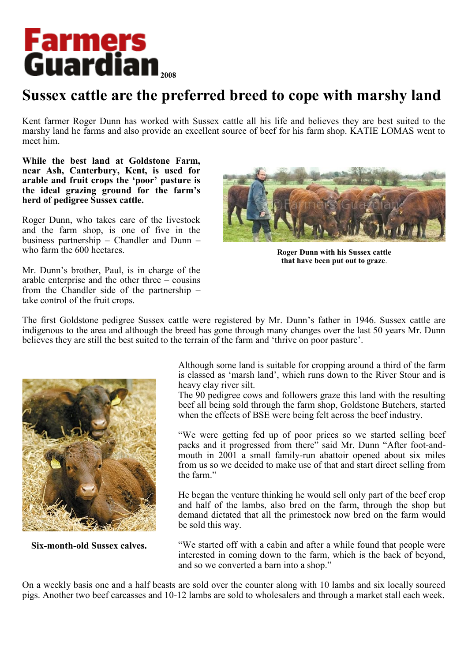## **Farmers<br>Guardian**

## **Sussex cattle are the preferred breed to cope with marshy land**

Kent farmer Roger Dunn has worked with Sussex cattle all his life and believes they are best suited to the marshy land he farms and also provide an excellent source of beef for his farm shop. KATIE LOMAS went to meet him.

**While the best land at Goldstone Farm, near Ash, Canterbury, Kent, is used for arable and fruit crops the 'poor' pasture is the ideal grazing ground for the farm's herd of pedigree Sussex cattle.**

Roger Dunn, who takes care of the livestock and the farm shop, is one of five in the business partnership – Chandler and Dunn – who farm the 600 hectares.

Mr. Dunn's brother, Paul, is in charge of the arable enterprise and the other three – cousins from the Chandler side of the partnership – take control of the fruit crops.



**Roger Dunn with his Sussex cattle that have been put out to graze**.

The first Goldstone pedigree Sussex cattle were registered by Mr. Dunn's father in 1946. Sussex cattle are indigenous to the area and although the breed has gone through many changes over the last 50 years Mr. Dunn believes they are still the best suited to the terrain of the farm and 'thrive on poor pasture'.



**Six-month-old Sussex calves.**

Although some land is suitable for cropping around a third of the farm is classed as 'marsh land', which runs down to the River Stour and is heavy clay river silt.

The 90 pedigree cows and followers graze this land with the resulting beef all being sold through the farm shop, Goldstone Butchers, started when the effects of BSE were being felt across the beef industry.

"We were getting fed up of poor prices so we started selling beef packs and it progressed from there" said Mr. Dunn "After foot-andmouth in 2001 a small family-run abattoir opened about six miles from us so we decided to make use of that and start direct selling from the farm."

He began the venture thinking he would sell only part of the beef crop and half of the lambs, also bred on the farm, through the shop but demand dictated that all the primestock now bred on the farm would be sold this way.

"We started off with a cabin and after a while found that people were interested in coming down to the farm, which is the back of beyond, and so we converted a barn into a shop."

On a weekly basis one and a half beasts are sold over the counter along with 10 lambs and six locally sourced pigs. Another two beef carcasses and 10-12 lambs are sold to wholesalers and through a market stall each week.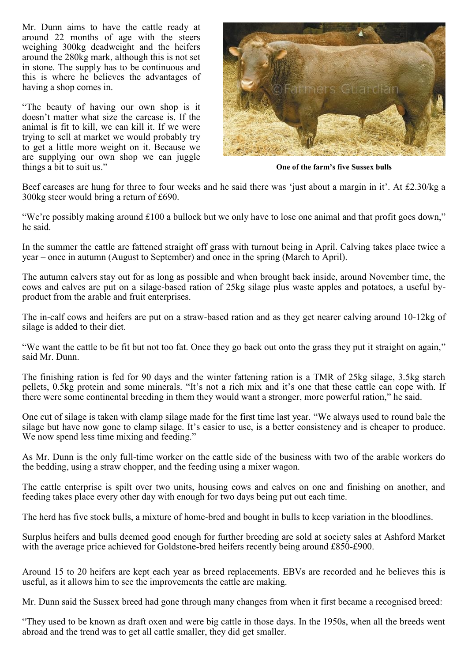Mr. Dunn aims to have the cattle ready at around 22 months of age with the steers weighing 300kg deadweight and the heifers around the 280kg mark, although this is not set in stone. The supply has to be continuous and this is where he believes the advantages of having a shop comes in.

"The beauty of having our own shop is it doesn't matter what size the carcase is. If the animal is fit to kill, we can kill it. If we were trying to sell at market we would probably try to get a little more weight on it. Because we are supplying our own shop we can juggle things a bit to suit us."



**One of the farm's five Sussex bulls**

Beef carcases are hung for three to four weeks and he said there was 'just about a margin in it'. At £2.30/kg a 300kg steer would bring a return of £690.

"We're possibly making around £100 a bullock but we only have to lose one animal and that profit goes down," he said.

In the summer the cattle are fattened straight off grass with turnout being in April. Calving takes place twice a year – once in autumn (August to September) and once in the spring (March to April).

The autumn calvers stay out for as long as possible and when brought back inside, around November time, the cows and calves are put on a silage-based ration of 25kg silage plus waste apples and potatoes, a useful byproduct from the arable and fruit enterprises.

The in-calf cows and heifers are put on a straw-based ration and as they get nearer calving around 10-12kg of silage is added to their diet.

"We want the cattle to be fit but not too fat. Once they go back out onto the grass they put it straight on again," said Mr. Dunn.

The finishing ration is fed for 90 days and the winter fattening ration is a TMR of 25kg silage, 3.5kg starch pellets, 0.5kg protein and some minerals. "It's not a rich mix and it's one that these cattle can cope with. If there were some continental breeding in them they would want a stronger, more powerful ration," he said.

One cut of silage is taken with clamp silage made for the first time last year. "We always used to round bale the silage but have now gone to clamp silage. It's easier to use, is a better consistency and is cheaper to produce. We now spend less time mixing and feeding."

As Mr. Dunn is the only full-time worker on the cattle side of the business with two of the arable workers do the bedding, using a straw chopper, and the feeding using a mixer wagon.

The cattle enterprise is spilt over two units, housing cows and calves on one and finishing on another, and feeding takes place every other day with enough for two days being put out each time.

The herd has five stock bulls, a mixture of home-bred and bought in bulls to keep variation in the bloodlines.

Surplus heifers and bulls deemed good enough for further breeding are sold at society sales at Ashford Market with the average price achieved for Goldstone-bred heifers recently being around £850-£900.

Around 15 to 20 heifers are kept each year as breed replacements. EBVs are recorded and he believes this is useful, as it allows him to see the improvements the cattle are making.

Mr. Dunn said the Sussex breed had gone through many changes from when it first became a recognised breed:

"They used to be known as draft oxen and were big cattle in those days. In the 1950s, when all the breeds went abroad and the trend was to get all cattle smaller, they did get smaller.